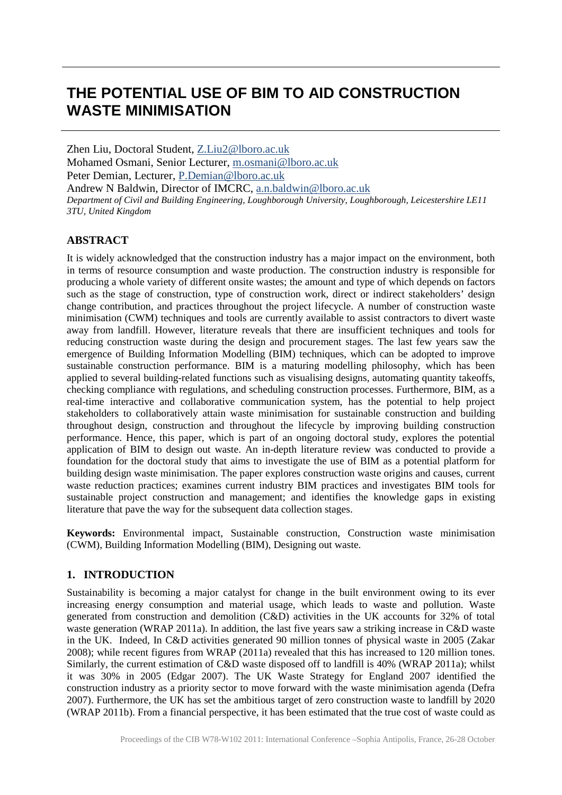# **THE POTENTIAL USE OF BIM TO AID CONSTRUCTION WASTE MINIMISATION**

Zhen Liu, Doctoral Student, [Z.Liu2@lboro.ac.uk](mailto:Z.Liu2@lboro.ac.uk) Mohamed Osmani, Senior Lecturer, [m.osmani@lboro.ac.uk](mailto:m.osmani@lboro.ac.uk) Peter Demian, Lecturer, [P.Demian@lboro.ac.uk](mailto:P.Demian@lboro.ac.uk) Andrew N Baldwin, Director of IMCRC, [a.n.baldwin@lboro.ac.uk](mailto:a.n.baldwin@lboro.ac.uk) *Department of Civil and Building Engineering, Loughborough University, Loughborough, Leicestershire LE11 3TU, United Kingdom*

## **ABSTRACT**

It is widely acknowledged that the construction industry has a major impact on the environment, both in terms of resource consumption and waste production. The construction industry is responsible for producing a whole variety of different onsite wastes; the amount and type of which depends on factors such as the stage of construction, type of construction work, direct or indirect stakeholders' design change contribution, and practices throughout the project lifecycle. A number of construction waste minimisation (CWM) techniques and tools are currently available to assist contractors to divert waste away from landfill. However, literature reveals that there are insufficient techniques and tools for reducing construction waste during the design and procurement stages. The last few years saw the emergence of Building Information Modelling (BIM) techniques, which can be adopted to improve sustainable construction performance. BIM is a maturing modelling philosophy, which has been applied to several building-related functions such as visualising designs, automating quantity takeoffs, checking compliance with regulations, and scheduling construction processes. Furthermore, BIM, as a real-time interactive and collaborative communication system, has the potential to help project stakeholders to collaboratively attain waste minimisation for sustainable construction and building throughout design, construction and throughout the lifecycle by improving building construction performance. Hence, this paper, which is part of an ongoing doctoral study, explores the potential application of BIM to design out waste. An in-depth literature review was conducted to provide a foundation for the doctoral study that aims to investigate the use of BIM as a potential platform for building design waste minimisation. The paper explores construction waste origins and causes, current waste reduction practices; examines current industry BIM practices and investigates BIM tools for sustainable project construction and management; and identifies the knowledge gaps in existing literature that pave the way for the subsequent data collection stages.

**Keywords:** Environmental impact, Sustainable construction, Construction waste minimisation (CWM), Building Information Modelling (BIM), Designing out waste.

## **1. INTRODUCTION**

Sustainability is becoming a major catalyst for change in the built environment owing to its ever increasing energy consumption and material usage, which leads to waste and pollution. Waste generated from construction and demolition (C&D) activities in the UK accounts for 32% of total waste generation (WRAP 2011a). In addition, the last five years saw a striking increase in C&D waste in the UK. Indeed, In C&D activities generated 90 million tonnes of physical waste in 2005 (Zakar 2008); while recent figures from WRAP (2011a) revealed that this has increased to 120 million tones. Similarly, the current estimation of C&D waste disposed off to landfill is 40% (WRAP 2011a); whilst it was 30% in 2005 (Edgar 2007). The UK Waste Strategy for England 2007 identified the construction industry as a priority sector to move forward with the waste minimisation agenda (Defra 2007). Furthermore, the UK has set the ambitious target of zero construction waste to landfill by 2020 (WRAP 2011b). From a financial perspective, it has been estimated that the true cost of waste could as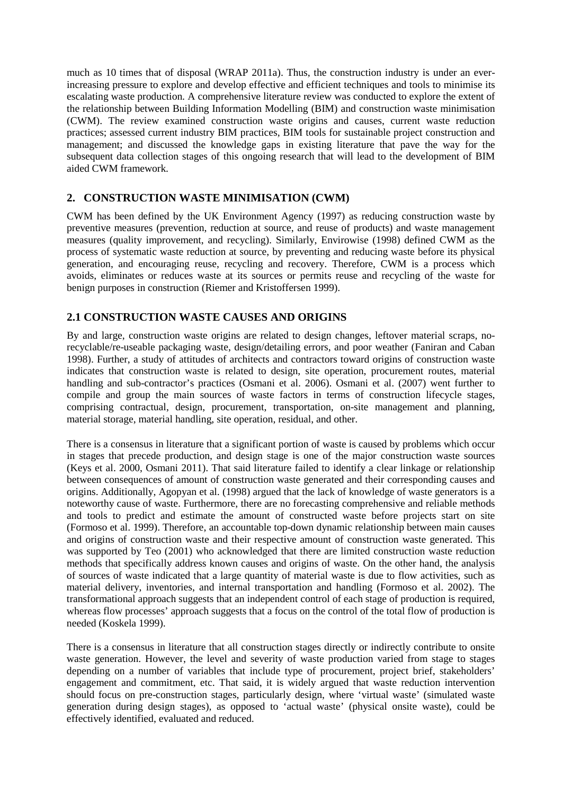much as 10 times that of disposal (WRAP 2011a). Thus, the construction industry is under an everincreasing pressure to explore and develop effective and efficient techniques and tools to minimise its escalating waste production. A comprehensive literature review was conducted to explore the extent of the relationship between Building Information Modelling (BIM) and construction waste minimisation (CWM). The review examined construction waste origins and causes, current waste reduction practices; assessed current industry BIM practices, BIM tools for sustainable project construction and management; and discussed the knowledge gaps in existing literature that pave the way for the subsequent data collection stages of this ongoing research that will lead to the development of BIM aided CWM framework.

# **2. CONSTRUCTION WASTE MINIMISATION (CWM)**

CWM has been defined by the UK Environment Agency (1997) as reducing construction waste by preventive measures (prevention, reduction at source, and reuse of products) and waste management measures (quality improvement, and recycling). Similarly, Envirowise (1998) defined CWM as the process of systematic waste reduction at source, by preventing and reducing waste before its physical generation, and encouraging reuse, recycling and recovery. Therefore, CWM is a process which avoids, eliminates or reduces waste at its sources or permits reuse and recycling of the waste for benign purposes in construction (Riemer and Kristoffersen 1999).

## **2.1 CONSTRUCTION WASTE CAUSES AND ORIGINS**

By and large, construction waste origins are related to design changes, leftover material scraps, norecyclable/re-useable packaging waste, design/detailing errors, and poor weather (Faniran and Caban 1998). Further, a study of attitudes of architects and contractors toward origins of construction waste indicates that construction waste is related to design, site operation, procurement routes, material handling and sub-contractor's practices (Osmani et al. 2006). Osmani et al. (2007) went further to compile and group the main sources of waste factors in terms of construction lifecycle stages, comprising contractual, design, procurement, transportation, on-site management and planning, material storage, material handling, site operation, residual, and other.

There is a consensus in literature that a significant portion of waste is caused by problems which occur in stages that precede production, and design stage is one of the major construction waste sources (Keys et al. 2000, Osmani 2011). That said literature failed to identify a clear linkage or relationship between consequences of amount of construction waste generated and their corresponding causes and origins. Additionally, Agopyan et al. (1998) argued that the lack of knowledge of waste generators is a noteworthy cause of waste. Furthermore, there are no forecasting comprehensive and reliable methods and tools to predict and estimate the amount of constructed waste before projects start on site (Formoso et al. 1999). Therefore, an accountable top-down dynamic relationship between main causes and origins of construction waste and their respective amount of construction waste generated. This was supported by Teo (2001) who acknowledged that there are limited construction waste reduction methods that specifically address known causes and origins of waste. On the other hand, the analysis of sources of waste indicated that a large quantity of material waste is due to flow activities, such as material delivery, inventories, and internal transportation and handling (Formoso et al. 2002). The transformational approach suggests that an independent control of each stage of production is required, whereas flow processes' approach suggests that a focus on the control of the total flow of production is needed (Koskela 1999).

There is a consensus in literature that all construction stages directly or indirectly contribute to onsite waste generation. However, the level and severity of waste production varied from stage to stages depending on a number of variables that include type of procurement, project brief, stakeholders' engagement and commitment, etc. That said, it is widely argued that waste reduction intervention should focus on pre-construction stages, particularly design, where 'virtual waste' (simulated waste generation during design stages), as opposed to 'actual waste' (physical onsite waste), could be effectively identified, evaluated and reduced.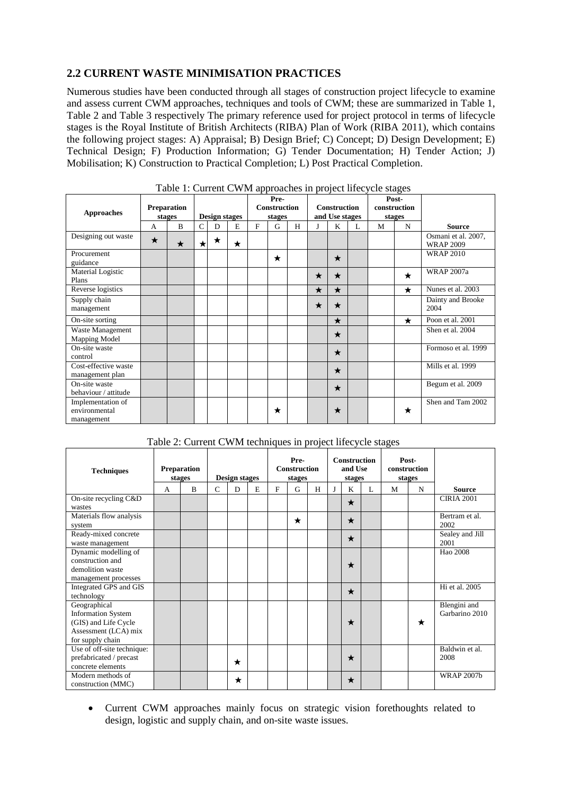## **2.2 CURRENT WASTE MINIMISATION PRACTICES**

Numerous studies have been conducted through all stages of construction project lifecycle to examine and assess current CWM approaches, techniques and tools of CWM; these are summarized in Table 1, Table 2 and Table 3 respectively The primary reference used for project protocol in terms of lifecycle stages is the Royal Institute of British Architects (RIBA) Plan of Work (RIBA 2011), which contains the following project stages: A) Appraisal; B) Design Brief; C) Concept; D) Design Development; E) Technical Design; F) Production Information; G) Tender Documentation; H) Tender Action; J) Mobilisation; K) Construction to Practical Completion; L) Post Practical Completion.

| <b>Approaches</b>                                | <b>Preparation</b><br>stages |         | raoic 11 Caffein & Man approaches in project mee jets stages<br>Design stages |   |         | Pre-<br>Construction<br>stages |         |   | <b>Construction</b><br>and Use stages |         |   | Post-<br>construction<br>stages |         |                                         |
|--------------------------------------------------|------------------------------|---------|-------------------------------------------------------------------------------|---|---------|--------------------------------|---------|---|---------------------------------------|---------|---|---------------------------------|---------|-----------------------------------------|
|                                                  | A                            | B       | C                                                                             | D | E       | F                              | G       | H |                                       | K       | L | M                               | N       | <b>Source</b>                           |
| Designing out waste                              | $\star$                      | $\star$ | ★                                                                             | ★ | $\star$ |                                |         |   |                                       |         |   |                                 |         | Osmani et al. 2007,<br><b>WRAP 2009</b> |
| Procurement<br>guidance                          |                              |         |                                                                               |   |         |                                | $\star$ |   |                                       | $\star$ |   |                                 |         | <b>WRAP 2010</b>                        |
| Material Logistic<br>Plans                       |                              |         |                                                                               |   |         |                                |         |   | $\star$                               | $\star$ |   |                                 | $\star$ | <b>WRAP 2007a</b>                       |
| Reverse logistics                                |                              |         |                                                                               |   |         |                                |         |   | $\star$                               | $\star$ |   |                                 | $\star$ | Nunes et al. 2003                       |
| Supply chain<br>management                       |                              |         |                                                                               |   |         |                                |         |   | ★                                     | $\star$ |   |                                 |         | Dainty and Brooke<br>2004               |
| On-site sorting                                  |                              |         |                                                                               |   |         |                                |         |   |                                       | $\star$ |   |                                 | $\star$ | Poon et al. 2001                        |
| Waste Management<br>Mapping Model                |                              |         |                                                                               |   |         |                                |         |   |                                       | $\star$ |   |                                 |         | Shen et al. 2004                        |
| On-site waste<br>control                         |                              |         |                                                                               |   |         |                                |         |   |                                       | $\star$ |   |                                 |         | Formoso et al. 1999                     |
| Cost-effective waste<br>management plan          |                              |         |                                                                               |   |         |                                |         |   |                                       | $\star$ |   |                                 |         | Mills et al. 1999                       |
| On-site waste<br>behaviour / attitude            |                              |         |                                                                               |   |         |                                |         |   |                                       | $\star$ |   |                                 |         | Begum et al. 2009                       |
| Implementation of<br>environmental<br>management |                              |         |                                                                               |   |         |                                | $\star$ |   |                                       | ★       |   |                                 | $\star$ | Shen and Tam 2002                       |

#### Table 1: Current CWM approaches in project lifecycle stages

Table 2: Current CWM techniques in project lifecycle stages

| <b>Techniques</b>                 | <b>Preparation</b><br>stages |   |              | Design stages |   |   | Pre-<br><b>Construction</b><br>stages |   |   | <b>Construction</b><br>and Use<br>stages |   | Post-<br>construction<br>stages |         |                   |
|-----------------------------------|------------------------------|---|--------------|---------------|---|---|---------------------------------------|---|---|------------------------------------------|---|---------------------------------|---------|-------------------|
|                                   | A                            | B | $\mathsf{C}$ | D             | E | F | G                                     | H | J | K                                        | L | M                               | N       | <b>Source</b>     |
| On-site recycling C&D             |                              |   |              |               |   |   |                                       |   |   | $\star$                                  |   |                                 |         | <b>CIRIA 2001</b> |
| wastes                            |                              |   |              |               |   |   |                                       |   |   |                                          |   |                                 |         | Bertram et al.    |
| Materials flow analysis<br>system |                              |   |              |               |   |   | $\star$                               |   |   | $\star$                                  |   |                                 |         | 2002              |
| Ready-mixed concrete              |                              |   |              |               |   |   |                                       |   |   |                                          |   |                                 |         | Sealey and Jill   |
| waste management                  |                              |   |              |               |   |   |                                       |   |   | $\star$                                  |   |                                 |         | 2001              |
| Dynamic modelling of              |                              |   |              |               |   |   |                                       |   |   |                                          |   |                                 |         | Hao 2008          |
| construction and                  |                              |   |              |               |   |   |                                       |   |   | ★                                        |   |                                 |         |                   |
| demolition waste                  |                              |   |              |               |   |   |                                       |   |   |                                          |   |                                 |         |                   |
| management processes              |                              |   |              |               |   |   |                                       |   |   |                                          |   |                                 |         |                   |
| Integrated GPS and GIS            |                              |   |              |               |   |   |                                       |   |   | $\star$                                  |   |                                 |         | Hi et al. 2005    |
| technology                        |                              |   |              |               |   |   |                                       |   |   |                                          |   |                                 |         |                   |
| Geographical                      |                              |   |              |               |   |   |                                       |   |   |                                          |   |                                 |         | Blengini and      |
| <b>Information System</b>         |                              |   |              |               |   |   |                                       |   |   |                                          |   |                                 |         | Garbarino 2010    |
| (GIS) and Life Cycle              |                              |   |              |               |   |   |                                       |   |   | $\star$                                  |   |                                 | $\star$ |                   |
| Assessment (LCA) mix              |                              |   |              |               |   |   |                                       |   |   |                                          |   |                                 |         |                   |
| for supply chain                  |                              |   |              |               |   |   |                                       |   |   |                                          |   |                                 |         |                   |
| Use of off-site technique:        |                              |   |              |               |   |   |                                       |   |   |                                          |   |                                 |         | Baldwin et al.    |
| prefabricated / precast           |                              |   |              | ★             |   |   |                                       |   |   | $\star$                                  |   |                                 |         | 2008              |
| concrete elements                 |                              |   |              |               |   |   |                                       |   |   |                                          |   |                                 |         |                   |
| Modern methods of                 |                              |   |              | ★             |   |   |                                       |   |   | $\star$                                  |   |                                 |         | <b>WRAP 2007b</b> |
| construction (MMC)                |                              |   |              |               |   |   |                                       |   |   |                                          |   |                                 |         |                   |

• Current CWM approaches mainly focus on strategic vision forethoughts related to design, logistic and supply chain, and on-site waste issues.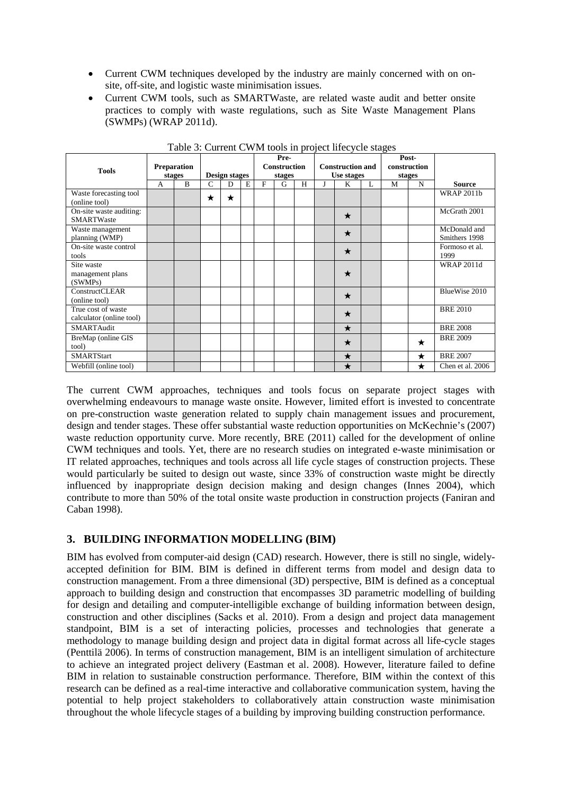- Current CWM techniques developed by the industry are mainly concerned with on onsite, off-site, and logistic waste minimisation issues.
- Current CWM tools, such as SMARTWaste, are related waste audit and better onsite practices to comply with waste regulations, such as Site Waste Management Plans (SWMPs) (WRAP 2011d).

| <b>Preparation</b><br><b>Tools</b><br>stages   |        |  |                                     |         |  |   | Pre-<br><b>Construction</b> |   |                      | <b>Construction and</b> |  | Post-<br>construction<br>stages |         |                               |
|------------------------------------------------|--------|--|-------------------------------------|---------|--|---|-----------------------------|---|----------------------|-------------------------|--|---------------------------------|---------|-------------------------------|
|                                                | B<br>A |  | <b>Design stages</b><br>C<br>D<br>E |         |  | F | stages<br>G                 | H | Use stages<br>K<br>L |                         |  | M<br>N                          |         | <b>Source</b>                 |
| Waste forecasting tool<br>(online tool)        |        |  | $\star$                             | $\star$ |  |   |                             |   |                      |                         |  |                                 |         | <b>WRAP 2011b</b>             |
| On-site waste auditing:<br><b>SMARTWaste</b>   |        |  |                                     |         |  |   |                             |   |                      | $\star$                 |  |                                 |         | McGrath 2001                  |
| Waste management<br>planning (WMP)             |        |  |                                     |         |  |   |                             |   |                      | $\star$                 |  |                                 |         | McDonald and<br>Smithers 1998 |
| On-site waste control<br>tools                 |        |  |                                     |         |  |   |                             |   |                      | $\star$                 |  |                                 |         | Formoso et al.<br>1999        |
| Site waste<br>management plans<br>(SWMPs)      |        |  |                                     |         |  |   |                             |   |                      | ★                       |  |                                 |         | <b>WRAP 2011d</b>             |
| ConstructCLEAR<br>(online tool)                |        |  |                                     |         |  |   |                             |   |                      | $\star$                 |  |                                 |         | BlueWise 2010                 |
| True cost of waste<br>calculator (online tool) |        |  |                                     |         |  |   |                             |   |                      | $\star$                 |  |                                 |         | <b>BRE 2010</b>               |
| SMARTAudit                                     |        |  |                                     |         |  |   |                             |   |                      | $\star$                 |  |                                 |         | <b>BRE 2008</b>               |
| BreMap (online GIS<br>tool)                    |        |  |                                     |         |  |   |                             |   |                      | $\star$                 |  |                                 | $\star$ | <b>BRE 2009</b>               |
| <b>SMARTStart</b>                              |        |  |                                     |         |  |   |                             |   |                      | $\star$                 |  |                                 | $\star$ | <b>BRE 2007</b>               |
| Webfill (online tool)                          |        |  |                                     |         |  |   |                             |   |                      | $\star$                 |  |                                 | ★       | Chen et al. 2006              |

Table 3: Current CWM tools in project lifecycle stages

The current CWM approaches, techniques and tools focus on separate project stages with overwhelming endeavours to manage waste onsite. However, limited effort is invested to concentrate on pre-construction waste generation related to supply chain management issues and procurement, design and tender stages. These offer substantial waste reduction opportunities on McKechnie's (2007) waste reduction opportunity curve. More recently, BRE (2011) called for the development of online CWM techniques and tools. Yet, there are no research studies on integrated e-waste minimisation or IT related approaches, techniques and tools across all life cycle stages of construction projects. These would particularly be suited to design out waste, since 33% of construction waste might be directly influenced by inappropriate design decision making and design changes (Innes 2004), which contribute to more than 50% of the total onsite waste production in construction projects (Faniran and Caban 1998).

# **3. BUILDING INFORMATION MODELLING (BIM)**

BIM has evolved from computer-aid design (CAD) research. However, there is still no single, widelyaccepted definition for BIM. BIM is defined in different terms from model and design data to construction management. From a three dimensional (3D) perspective, BIM is defined as a conceptual approach to building design and construction that encompasses 3D parametric modelling of building for design and detailing and computer-intelligible exchange of building information between design, construction and other disciplines (Sacks et al. 2010). From a design and project data management standpoint, BIM is a set of interacting policies, processes and technologies that generate a methodology to manage building design and project data in digital format across all life-cycle stages (Penttilä 2006). In terms of construction management, BIM is an intelligent simulation of architecture to achieve an integrated project delivery (Eastman et al. 2008). However, literature failed to define BIM in relation to sustainable construction performance. Therefore, BIM within the context of this research can be defined as a real-time interactive and collaborative communication system, having the potential to help project stakeholders to collaboratively attain construction waste minimisation throughout the whole lifecycle stages of a building by improving building construction performance.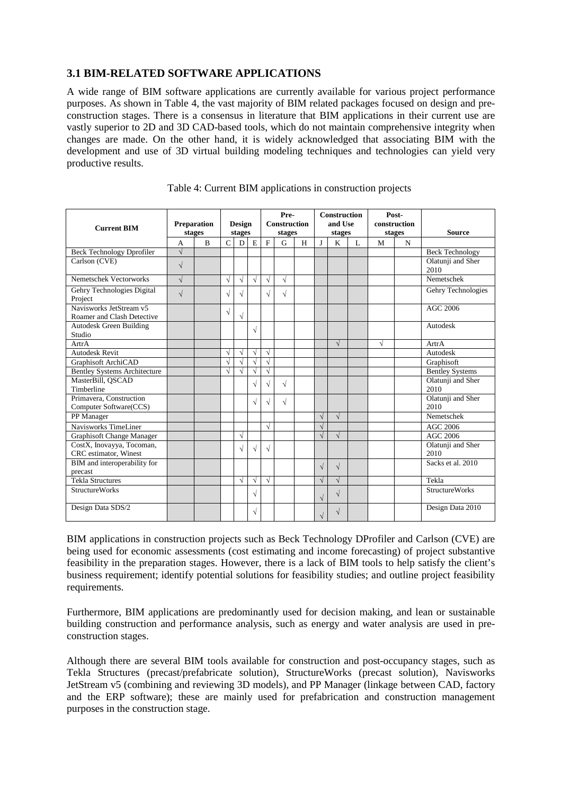## **3.1 BIM-RELATED SOFTWARE APPLICATIONS**

A wide range of BIM software applications are currently available for various project performance purposes. As shown in Table 4, the vast majority of BIM related packages focused on design and preconstruction stages. There is a consensus in literature that BIM applications in their current use are vastly superior to 2D and 3D CAD-based tools, which do not maintain comprehensive integrity when changes are made. On the other hand, it is widely acknowledged that associating BIM with the development and use of 3D virtual building modeling techniques and technologies can yield very productive results.

| <b>Current BIM</b>                                    | Preparation<br>stages |                | <b>Design</b><br>stages |            |           | Pre-<br><b>Construction</b><br>stages |            |   | <b>Construction</b><br>and Use<br>stages |            |              | construction | Post-<br>stages | <b>Source</b>             |
|-------------------------------------------------------|-----------------------|----------------|-------------------------|------------|-----------|---------------------------------------|------------|---|------------------------------------------|------------|--------------|--------------|-----------------|---------------------------|
|                                                       | A                     | $\overline{B}$ | $\mathcal{C}$           | D          | E         | $\mathbf{F}$                          | G          | H | $\mathbf{I}$                             | K          | $\mathbf{L}$ | M            | $\mathbf N$     |                           |
| <b>Beck Technology Dprofiler</b>                      | $\sqrt{}$             |                |                         |            |           |                                       |            |   |                                          |            |              |              |                 | <b>Beck Technology</b>    |
| Carlson (CVE)                                         | $\sqrt{}$             |                |                         |            |           |                                       |            |   |                                          |            |              |              |                 | Olatunji and Sher<br>2010 |
| Nemetschek Vectorworks                                | $\sqrt{}$             |                | $\sqrt{}$               | $\sqrt{}$  | $\sqrt{}$ | $\sqrt{ }$                            | $\sqrt{ }$ |   |                                          |            |              |              |                 | Nemetschek                |
| Gehry Technologies Digital<br>Project                 | $\sqrt{}$             |                | $\sqrt{ }$              | V          |           | $\sqrt{ }$                            | $\sqrt{}$  |   |                                          |            |              |              |                 | Gehry Technologies        |
| Navisworks JetStream v5<br>Roamer and Clash Detective |                       |                | $\sqrt{}$               | $\sqrt{}$  |           |                                       |            |   |                                          |            |              |              |                 | AGC 2006                  |
| <b>Autodesk Green Building</b><br>Studio              |                       |                |                         |            | $\sqrt{}$ |                                       |            |   |                                          |            |              |              |                 | Autodesk                  |
| ArtrA                                                 |                       |                |                         |            |           |                                       |            |   |                                          | $\sqrt{ }$ |              | $\sqrt{}$    |                 | ArtrA                     |
| <b>Autodesk Revit</b>                                 |                       |                | $\sqrt{}$               | $\sqrt{ }$ | √         | $\sqrt{ }$                            |            |   |                                          |            |              |              |                 | Autodesk                  |
| Graphisoft ArchiCAD                                   |                       |                | $\sqrt{}$               | $\sqrt{ }$ | V         | $\sqrt{ }$                            |            |   |                                          |            |              |              |                 | Graphisoft                |
| <b>Bentley Systems Architecture</b>                   |                       |                | $\sqrt{}$               | $\sqrt{ }$ | V         | $\sqrt{}$                             |            |   |                                          |            |              |              |                 | <b>Bentley Systems</b>    |
| MasterBill, QSCAD<br>Timberline                       |                       |                |                         |            |           | $\sqrt{ }$                            | $\sqrt{ }$ |   |                                          |            |              |              |                 | Olatunji and Sher<br>2010 |
| Primavera, Construction<br>Computer Software(CCS)     |                       |                |                         |            |           | V                                     | $\sqrt{}$  |   |                                          |            |              |              |                 | Olatunji and Sher<br>2010 |
| PP Manager                                            |                       |                |                         |            |           |                                       |            |   | $\sqrt{}$                                | $\sqrt{ }$ |              |              |                 | Nemetschek                |
| Navisworks TimeLiner                                  |                       |                |                         |            |           | $\sqrt{ }$                            |            |   | $\sqrt{}$                                |            |              |              |                 | <b>AGC 2006</b>           |
| Graphisoft Change Manager                             |                       |                |                         | $\sqrt{ }$ |           |                                       |            |   | $\sqrt{}$                                | $\sqrt{}$  |              |              |                 | AGC 2006                  |
| CostX, Inovayya, Tocoman,<br>CRC estimator, Winest    |                       |                |                         | $\sqrt{}$  | V         | $\sqrt{ }$                            |            |   |                                          |            |              |              |                 | Olatunji and Sher<br>2010 |
| BIM and interoperability for<br>precast               |                       |                |                         |            |           |                                       |            |   | $\sqrt{}$                                | $\sqrt{}$  |              |              |                 | Sacks et al. 2010         |
| <b>Tekla Structures</b>                               |                       |                |                         | $\sqrt{ }$ | √         | $\sqrt{ }$                            |            |   | $\sqrt{ }$                               | $\sqrt{}$  |              |              |                 | Tekla                     |
| <b>StructureWorks</b>                                 |                       |                |                         |            | $\sqrt{}$ |                                       |            |   | $\sqrt{}$                                | $\sqrt{}$  |              |              |                 | <b>StructureWorks</b>     |
| Design Data SDS/2                                     |                       |                |                         |            | $\sqrt{}$ |                                       |            |   |                                          | V          |              |              |                 | Design Data 2010          |

Table 4: Current BIM applications in construction projects

BIM applications in construction projects such as Beck Technology DProfiler and Carlson (CVE) are being used for economic assessments (cost estimating and income forecasting) of project substantive feasibility in the preparation stages. However, there is a lack of BIM tools to help satisfy the client's business requirement; identify potential solutions for feasibility studies; and outline project feasibility requirements.

Furthermore, BIM applications are predominantly used for decision making, and lean or sustainable building construction and performance analysis, such as energy and water analysis are used in preconstruction stages.

Although there are several BIM tools available for construction and post-occupancy stages, such as Tekla Structures (precast/prefabricate solution), StructureWorks (precast solution), Navisworks JetStream v5 (combining and reviewing 3D models), and PP Manager (linkage between CAD, factory and the ERP software); these are mainly used for prefabrication and construction management purposes in the construction stage.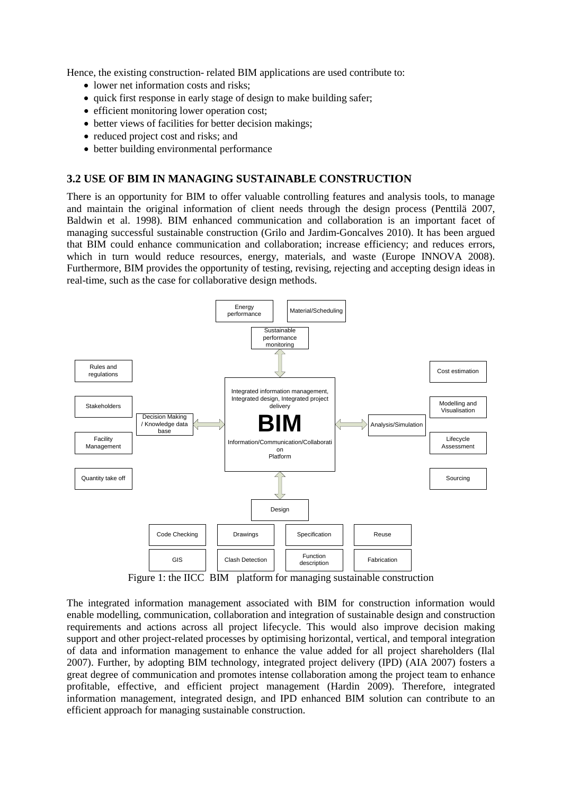Hence, the existing construction- related BIM applications are used contribute to:

- lower net information costs and risks;
- quick first response in early stage of design to make building safer;
- efficient monitoring lower operation cost:
- better views of facilities for better decision makings:
- reduced project cost and risks; and
- better building environmental performance

#### **3.2 USE OF BIM IN MANAGING SUSTAINABLE CONSTRUCTION**

There is an opportunity for BIM to offer valuable controlling features and analysis tools, to manage and maintain the original information of client needs through the design process (Penttilä 2007, Baldwin et al. 1998). BIM enhanced communication and collaboration is an important facet of managing successful sustainable construction (Grilo and Jardim-Goncalves 2010). It has been argued that BIM could enhance communication and collaboration; increase efficiency; and reduces errors, which in turn would reduce resources, energy, materials, and waste (Europe INNOVA 2008). Furthermore, BIM provides the opportunity of testing, revising, rejecting and accepting design ideas in real-time, such as the case for collaborative design methods.



Figure 1: the IICC BIM platform for managing sustainable construction

The integrated information management associated with BIM for construction information would enable modelling, communication, collaboration and integration of sustainable design and construction requirements and actions across all project lifecycle. This would also improve decision making support and other project-related processes by optimising horizontal, vertical, and temporal integration of data and information management to enhance the value added for all project shareholders (Ilal 2007). Further, by adopting BIM technology, integrated project delivery (IPD) (AIA 2007) fosters a great degree of communication and promotes intense collaboration among the project team to enhance profitable, effective, and efficient project management (Hardin 2009). Therefore, integrated information management, integrated design, and IPD enhanced BIM solution can contribute to an efficient approach for managing sustainable construction.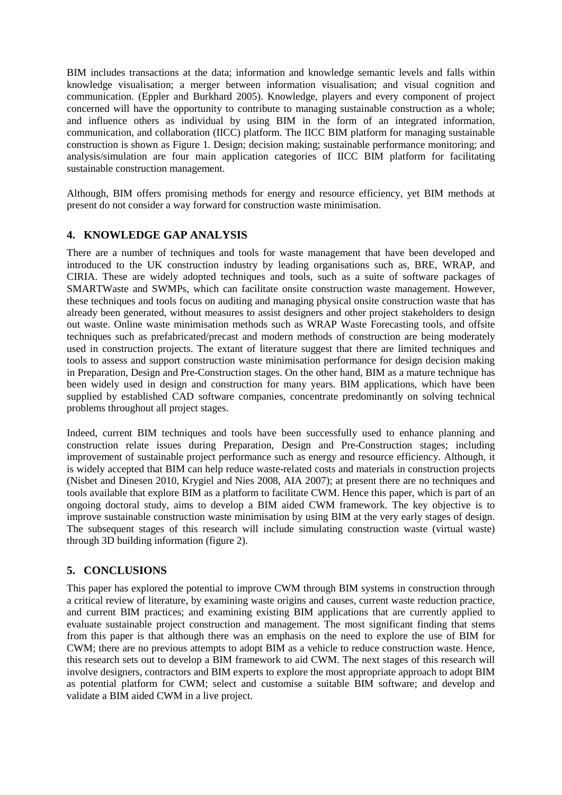BIM includes transactions at the data; information and knowledge semantic levels and falls within knowledge visualisation; a merger between information visualisation; and visual cognition and communication. (Eppler and Burkhard 2005). Knowledge, players and every component of project concerned will have the opportunity to contribute to managing sustainable construction as a whole; and influence others as individual by using BIM in the form of an integrated information, communication, and collaboration (IICC) platform. The IICC BIM platform for managing sustainable construction is shown as Figure 1. Design; decision making; sustainable performance monitoring; and analysis/simulation are four main application categories of IICC BIM platform for facilitating sustainable construction management.

Although, BIM offers promising methods for energy and resource efficiency, yet BIM methods at present do not consider a way forward for construction waste minimisation.

## **4. KNOWLEDGE GAP ANALYSIS**

There are a number of techniques and tools for waste management that have been developed and introduced to the UK construction industry by leading organisations such as, BRE, WRAP, and CIRIA. These are widely adopted techniques and tools, such as a suite of software packages of SMARTWaste and SWMPs, which can facilitate onsite construction waste management. However, these techniques and tools focus on auditing and managing physical onsite construction waste that has already been generated, without measures to assist designers and other project stakeholders to design out waste. Online waste minimisation methods such as WRAP Waste Forecasting tools, and offsite techniques such as prefabricated/precast and modern methods of construction are being moderately used in construction projects. The extant of literature suggest that there are limited techniques and tools to assess and support construction waste minimisation performance for design decision making in Preparation, Design and Pre-Construction stages. On the other hand, BIM as a mature technique has been widely used in design and construction for many years. BIM applications, which have been supplied by established CAD software companies, concentrate predominantly on solving technical problems throughout all project stages.

Indeed, current BIM techniques and tools have been successfully used to enhance planning and construction relate issues during Preparation, Design and Pre-Construction stages; including improvement of sustainable project performance such as energy and resource efficiency. Although, it is widely accepted that BIM can help reduce waste-related costs and materials in construction projects (Nisbet and Dinesen 2010, Krygiel and Nies 2008, AIA 2007); at present there are no techniques and tools available that explore BIM as a platform to facilitate CWM. Hence this paper, which is part of an ongoing doctoral study, aims to develop a BIM aided CWM framework. The key objective is to improve sustainable construction waste minimisation by using BIM at the very early stages of design. The subsequent stages of this research will include simulating construction waste (virtual waste) through 3D building information (figure 2).

## **5. CONCLUSIONS**

This paper has explored the potential to improve CWM through BIM systems in construction through a critical review of literature, by examining waste origins and causes, current waste reduction practice, and current BIM practices; and examining existing BIM applications that are currently applied to evaluate sustainable project construction and management. The most significant finding that stems from this paper is that although there was an emphasis on the need to explore the use of BIM for CWM; there are no previous attempts to adopt BIM as a vehicle to reduce construction waste. Hence, this research sets out to develop a BIM framework to aid CWM. The next stages of this research will involve designers, contractors and BIM experts to explore the most appropriate approach to adopt BIM as potential platform for CWM; select and customise a suitable BIM software; and develop and validate a BIM aided CWM in a live project.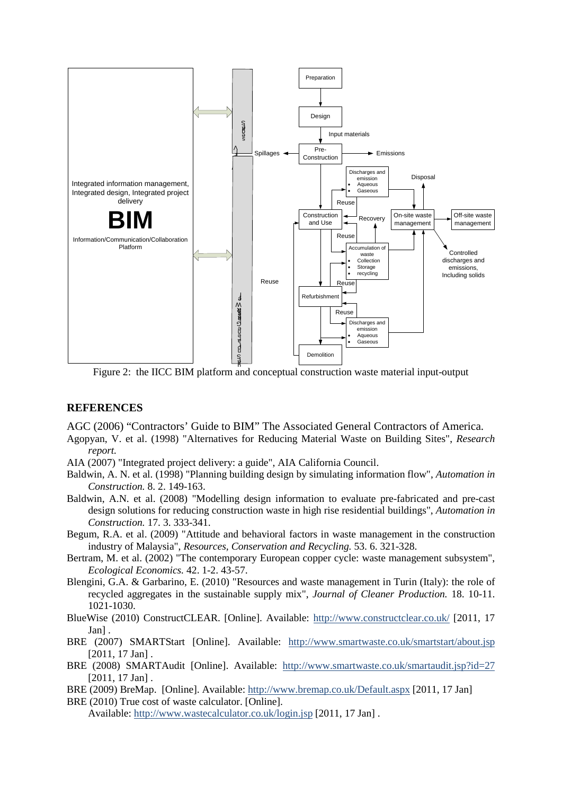

Figure 2: the IICC BIM platform and conceptual construction waste material input-output

#### **REFERENCES**

AGC (2006) "Contractors' Guide to BIM" The Associated General Contractors of America.

- Agopyan, V. et al. (1998) "Alternatives for Reducing Material Waste on Building Sites", *Research report.*
- AIA (2007) "Integrated project delivery: a guide", AIA California Council.
- Baldwin, A. N. et al. (1998) "Planning building design by simulating information flow", *Automation in Construction.* 8. 2. 149-163.
- Baldwin, A.N. et al. (2008) "Modelling design information to evaluate pre-fabricated and pre-cast design solutions for reducing construction waste in high rise residential buildings", *Automation in Construction.* 17. 3. 333-341.
- Begum, R.A. et al. (2009) "Attitude and behavioral factors in waste management in the construction industry of Malaysia", *Resources, Conservation and Recycling.* 53. 6. 321-328.
- Bertram, M. et al. (2002) "The contemporary European copper cycle: waste management subsystem", *Ecological Economics.* 42. 1-2. 43-57.
- Blengini, G.A. & Garbarino, E. (2010) "Resources and waste management in Turin (Italy): the role of recycled aggregates in the sustainable supply mix", *Journal of Cleaner Production.* 18. 10-11. 1021-1030.
- BlueWise (2010) ConstructCLEAR. [Online]. Available:<http://www.constructclear.co.uk/> [2011, 17 Jan] .
- BRE (2007) SMARTStart [Online]. Available: <http://www.smartwaste.co.uk/smartstart/about.jsp> [2011, 17 Jan].
- BRE (2008) SMARTAudit [Online]. Available: <http://www.smartwaste.co.uk/smartaudit.jsp?id=27> [2011, 17 Jan].
- BRE (2009) BreMap. [Online]. Available[: http://www.bremap.co.uk/Default.aspx](http://www.bremap.co.uk/Default.aspx) [2011, 17 Jan] BRE (2010) True cost of waste calculator. [Online].

Available: <http://www.wastecalculator.co.uk/login.jsp> [2011, 17 Jan] .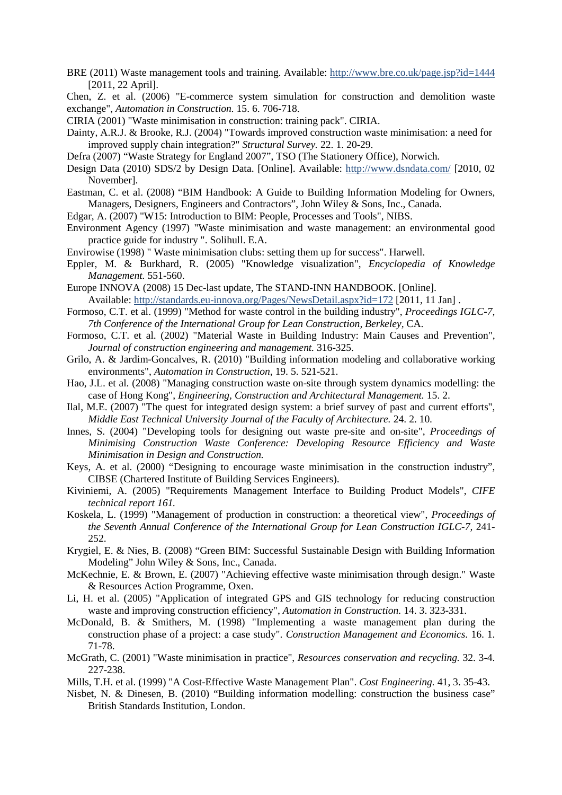- BRE (2011) Waste management tools and training. Available:<http://www.bre.co.uk/page.jsp?id=1444> [2011, 22 April].
- Chen, Z. et al. (2006) "E-commerce system simulation for construction and demolition waste exchange", *Automation in Construction.* 15. 6. 706-718.
- CIRIA (2001) "Waste minimisation in construction: training pack". CIRIA.
- Dainty, A.R.J. & Brooke, R.J. (2004) "Towards improved construction waste minimisation: a need for improved supply chain integration?" *Structural Survey.* 22. 1. 20-29.
- Defra (2007) "Waste Strategy for England 2007", TSO (The Stationery Office), Norwich.
- Design Data (2010) SDS/2 by Design Data. [Online]. Available:<http://www.dsndata.com/> [2010, 02 November].
- Eastman, C. et al. (2008) "BIM Handbook: A Guide to Building Information Modeling for Owners, Managers, Designers, Engineers and Contractors", John Wiley & Sons, Inc., Canada.
- Edgar, A. (2007) "W15: Introduction to BIM: People, Processes and Tools", NIBS.
- Environment Agency (1997) "Waste minimisation and waste management: an environmental good practice guide for industry ". Solihull. E.A.
- Envirowise (1998) " Waste minimisation clubs: setting them up for success". Harwell.
- Eppler, M. & Burkhard, R. (2005) "Knowledge visualization", *Encyclopedia of Knowledge Management.* 551-560.
- Europe INNOVA (2008) 15 Dec-last update*,* The STAND-INN HANDBOOK. [Online]. Available:<http://standards.eu-innova.org/Pages/NewsDetail.aspx?id=172> [2011, 11 Jan] .
- Formoso, C.T. et al. (1999) "Method for waste control in the building industry", *Proceedings IGLC-7, 7th Conference of the International Group for Lean Construction, Berkeley,* CA.
- Formoso, C.T. et al. (2002) "Material Waste in Building Industry: Main Causes and Prevention", *Journal of construction engineering and management.* 316-325.
- Grilo, A. & Jardim-Goncalves, R. (2010) "Building information modeling and collaborative working environments", *Automation in Construction,* 19. 5. 521-521.
- Hao, J.L. et al. (2008) "Managing construction waste on-site through system dynamics modelling: the case of Hong Kong", *Engineering, Construction and Architectural Management.* 15. 2.
- Ilal, M.E. (2007) "The quest for integrated design system: a brief survey of past and current efforts", *Middle East Technical University Journal of the Faculty of Architecture.* 24. 2. 10.
- Innes, S. (2004) "Developing tools for designing out waste pre-site and on-site", *Proceedings of Minimising Construction Waste Conference: Developing Resource Efficiency and Waste Minimisation in Design and Construction.*
- Keys, A. et al. (2000) "Designing to encourage waste minimisation in the construction industry", CIBSE (Chartered Institute of Building Services Engineers).
- Kiviniemi, A. (2005) "Requirements Management Interface to Building Product Models", *CIFE technical report 161.*
- Koskela, L. (1999) "Management of production in construction: a theoretical view", *Proceedings of the Seventh Annual Conference of the International Group for Lean Construction IGLC-7,* 241- 252.
- Krygiel, E. & Nies, B. (2008) "Green BIM: Successful Sustainable Design with Building Information Modeling" John Wiley & Sons, Inc., Canada.
- McKechnie, E. & Brown, E. (2007) "Achieving effective waste minimisation through design." Waste & Resources Action Programme, Oxen.
- Li, H. et al. (2005) "Application of integrated GPS and GIS technology for reducing construction waste and improving construction efficiency", *Automation in Construction.* 14. 3. 323-331.
- McDonald, B. & Smithers, M. (1998) "Implementing a waste management plan during the construction phase of a project: a case study". *Construction Management and Economics*. 16. 1. 71-78.
- McGrath, C. (2001) "Waste minimisation in practice", *Resources conservation and recycling.* 32. 3-4. 227-238.
- Mills, T.H. et al. (1999) "A Cost-Effective Waste Management Plan". *Cost Engineering.* 41, 3. 35-43.
- Nisbet, N. & Dinesen, B. (2010) "Building information modelling: construction the business case" British Standards Institution, London.